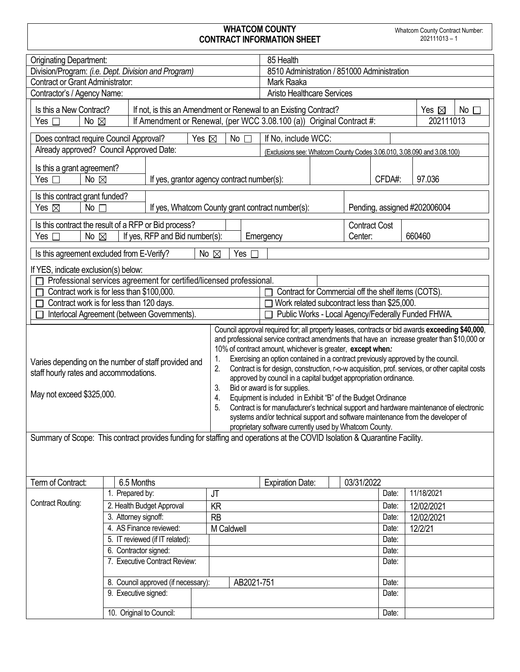## **WHATCOM COUNTY CONTRACT INFORMATION SHEET**

| <b>Originating Department:</b>                                                                                                                                                                      |                                                                                                                       |                     |            | 85 Health                                                                                                                                                                                                                                                                                                                                                                                                                                                                                                                                                                                                                                                                                                                                                                                                                                                        |  |                  |                |                                             |  |
|-----------------------------------------------------------------------------------------------------------------------------------------------------------------------------------------------------|-----------------------------------------------------------------------------------------------------------------------|---------------------|------------|------------------------------------------------------------------------------------------------------------------------------------------------------------------------------------------------------------------------------------------------------------------------------------------------------------------------------------------------------------------------------------------------------------------------------------------------------------------------------------------------------------------------------------------------------------------------------------------------------------------------------------------------------------------------------------------------------------------------------------------------------------------------------------------------------------------------------------------------------------------|--|------------------|----------------|---------------------------------------------|--|
| Division/Program: (i.e. Dept. Division and Program)                                                                                                                                                 |                                                                                                                       |                     |            | 8510 Administration / 851000 Administration                                                                                                                                                                                                                                                                                                                                                                                                                                                                                                                                                                                                                                                                                                                                                                                                                      |  |                  |                |                                             |  |
| <b>Contract or Grant Administrator:</b>                                                                                                                                                             |                                                                                                                       |                     |            | Mark Raaka                                                                                                                                                                                                                                                                                                                                                                                                                                                                                                                                                                                                                                                                                                                                                                                                                                                       |  |                  |                |                                             |  |
| <b>Aristo Healthcare Services</b><br>Contractor's / Agency Name:                                                                                                                                    |                                                                                                                       |                     |            |                                                                                                                                                                                                                                                                                                                                                                                                                                                                                                                                                                                                                                                                                                                                                                                                                                                                  |  |                  |                |                                             |  |
| Is this a New Contract?<br>If not, is this an Amendment or Renewal to an Existing Contract?<br>If Amendment or Renewal, (per WCC 3.08.100 (a)) Original Contract #:<br>Yes $\Box$<br>No $\boxtimes$ |                                                                                                                       |                     |            |                                                                                                                                                                                                                                                                                                                                                                                                                                                                                                                                                                                                                                                                                                                                                                                                                                                                  |  |                  |                | Yes $\boxtimes$<br>$No$ $\Box$<br>202111013 |  |
| Yes $\boxtimes$<br>Does contract require Council Approval?<br>No                                                                                                                                    |                                                                                                                       |                     |            |                                                                                                                                                                                                                                                                                                                                                                                                                                                                                                                                                                                                                                                                                                                                                                                                                                                                  |  |                  |                |                                             |  |
|                                                                                                                                                                                                     |                                                                                                                       | If No, include WCC: |            |                                                                                                                                                                                                                                                                                                                                                                                                                                                                                                                                                                                                                                                                                                                                                                                                                                                                  |  |                  |                |                                             |  |
| Already approved? Council Approved Date:<br>(Exclusions see: Whatcom County Codes 3.06.010, 3.08.090 and 3.08.100)                                                                                  |                                                                                                                       |                     |            |                                                                                                                                                                                                                                                                                                                                                                                                                                                                                                                                                                                                                                                                                                                                                                                                                                                                  |  |                  |                |                                             |  |
| Is this a grant agreement?<br>Yes <sub>[</sub><br>No $\nabla$                                                                                                                                       | If yes, grantor agency contract number(s):                                                                            |                     |            |                                                                                                                                                                                                                                                                                                                                                                                                                                                                                                                                                                                                                                                                                                                                                                                                                                                                  |  | CFDA#:<br>97.036 |                |                                             |  |
| Is this contract grant funded?<br>$No \Gamma$<br>Yes $\boxtimes$                                                                                                                                    | If yes, Whatcom County grant contract number(s):<br>Pending, assigned #202006004                                      |                     |            |                                                                                                                                                                                                                                                                                                                                                                                                                                                                                                                                                                                                                                                                                                                                                                                                                                                                  |  |                  |                |                                             |  |
| Yes $\Box$                                                                                                                                                                                          | Is this contract the result of a RFP or Bid process?<br>No $\boxtimes$<br>If yes, RFP and Bid number(s):<br>Emergency |                     |            | <b>Contract Cost</b><br>Center:                                                                                                                                                                                                                                                                                                                                                                                                                                                                                                                                                                                                                                                                                                                                                                                                                                  |  | 660460           |                |                                             |  |
|                                                                                                                                                                                                     |                                                                                                                       | No $\boxtimes$      | Yes        |                                                                                                                                                                                                                                                                                                                                                                                                                                                                                                                                                                                                                                                                                                                                                                                                                                                                  |  |                  |                |                                             |  |
| Is this agreement excluded from E-Verify?                                                                                                                                                           |                                                                                                                       |                     |            |                                                                                                                                                                                                                                                                                                                                                                                                                                                                                                                                                                                                                                                                                                                                                                                                                                                                  |  |                  |                |                                             |  |
| If YES, indicate exclusion(s) below:                                                                                                                                                                |                                                                                                                       |                     |            |                                                                                                                                                                                                                                                                                                                                                                                                                                                                                                                                                                                                                                                                                                                                                                                                                                                                  |  |                  |                |                                             |  |
| Professional services agreement for certified/licensed professional.<br>Contract work is for less than \$100,000.<br>Contract for Commercial off the shelf items (COTS).                            |                                                                                                                       |                     |            |                                                                                                                                                                                                                                                                                                                                                                                                                                                                                                                                                                                                                                                                                                                                                                                                                                                                  |  |                  |                |                                             |  |
|                                                                                                                                                                                                     | Contract work is for less than 120 days.                                                                              |                     |            | Work related subcontract less than \$25,000.                                                                                                                                                                                                                                                                                                                                                                                                                                                                                                                                                                                                                                                                                                                                                                                                                     |  |                  |                |                                             |  |
|                                                                                                                                                                                                     | Interlocal Agreement (between Governments).                                                                           |                     |            | Public Works - Local Agency/Federally Funded FHWA.                                                                                                                                                                                                                                                                                                                                                                                                                                                                                                                                                                                                                                                                                                                                                                                                               |  |                  |                |                                             |  |
| 1.<br>Varies depending on the number of staff provided and<br>2.<br>staff hourly rates and accommodations.<br>3.<br>May not exceed \$325,000.<br>4.<br>5.                                           |                                                                                                                       |                     |            | Council approval required for; all property leases, contracts or bid awards exceeding \$40,000,<br>and professional service contract amendments that have an increase greater than \$10,000 or<br>10% of contract amount, whichever is greater, except when:<br>Exercising an option contained in a contract previously approved by the council.<br>Contract is for design, construction, r-o-w acquisition, prof. services, or other capital costs<br>approved by council in a capital budget appropriation ordinance.<br>Bid or award is for supplies.<br>Equipment is included in Exhibit "B" of the Budget Ordinance<br>Contract is for manufacturer's technical support and hardware maintenance of electronic<br>systems and/or technical support and software maintenance from the developer of<br>proprietary software currently used by Whatcom County. |  |                  |                |                                             |  |
| Summary of Scope: This contract provides funding for staffing and operations at the COVID Isolation & Quarantine Facility.                                                                          |                                                                                                                       |                     |            |                                                                                                                                                                                                                                                                                                                                                                                                                                                                                                                                                                                                                                                                                                                                                                                                                                                                  |  |                  |                |                                             |  |
|                                                                                                                                                                                                     |                                                                                                                       |                     |            |                                                                                                                                                                                                                                                                                                                                                                                                                                                                                                                                                                                                                                                                                                                                                                                                                                                                  |  |                  |                |                                             |  |
| Term of Contract:                                                                                                                                                                                   | 6.5 Months                                                                                                            |                     |            | <b>Expiration Date:</b>                                                                                                                                                                                                                                                                                                                                                                                                                                                                                                                                                                                                                                                                                                                                                                                                                                          |  | 03/31/2022       |                |                                             |  |
|                                                                                                                                                                                                     | 1. Prepared by:                                                                                                       | JT                  |            |                                                                                                                                                                                                                                                                                                                                                                                                                                                                                                                                                                                                                                                                                                                                                                                                                                                                  |  |                  | Date:          | 11/18/2021                                  |  |
| Contract Routing:                                                                                                                                                                                   | 2. Health Budget Approval                                                                                             | KR                  |            |                                                                                                                                                                                                                                                                                                                                                                                                                                                                                                                                                                                                                                                                                                                                                                                                                                                                  |  |                  | Date:          | 12/02/2021                                  |  |
|                                                                                                                                                                                                     | 3. Attorney signoff:<br><b>RB</b><br>12/02/2021<br>Date:                                                              |                     |            |                                                                                                                                                                                                                                                                                                                                                                                                                                                                                                                                                                                                                                                                                                                                                                                                                                                                  |  |                  |                |                                             |  |
|                                                                                                                                                                                                     | 4. AS Finance reviewed:                                                                                               |                     | M Caldwell |                                                                                                                                                                                                                                                                                                                                                                                                                                                                                                                                                                                                                                                                                                                                                                                                                                                                  |  |                  | Date:          | 12/2/21                                     |  |
|                                                                                                                                                                                                     | 5. IT reviewed (if IT related):                                                                                       |                     |            |                                                                                                                                                                                                                                                                                                                                                                                                                                                                                                                                                                                                                                                                                                                                                                                                                                                                  |  |                  | Date:          |                                             |  |
|                                                                                                                                                                                                     | 6. Contractor signed:<br>7. Executive Contract Review:                                                                |                     |            |                                                                                                                                                                                                                                                                                                                                                                                                                                                                                                                                                                                                                                                                                                                                                                                                                                                                  |  |                  | Date:<br>Date: |                                             |  |
|                                                                                                                                                                                                     |                                                                                                                       |                     |            |                                                                                                                                                                                                                                                                                                                                                                                                                                                                                                                                                                                                                                                                                                                                                                                                                                                                  |  |                  |                |                                             |  |
|                                                                                                                                                                                                     | 8. Council approved (if necessary):                                                                                   |                     | AB2021-751 |                                                                                                                                                                                                                                                                                                                                                                                                                                                                                                                                                                                                                                                                                                                                                                                                                                                                  |  |                  | Date:          |                                             |  |
|                                                                                                                                                                                                     | 9. Executive signed:                                                                                                  |                     |            |                                                                                                                                                                                                                                                                                                                                                                                                                                                                                                                                                                                                                                                                                                                                                                                                                                                                  |  |                  | Date:          |                                             |  |
|                                                                                                                                                                                                     | 10. Original to Council:                                                                                              |                     |            |                                                                                                                                                                                                                                                                                                                                                                                                                                                                                                                                                                                                                                                                                                                                                                                                                                                                  |  |                  | Date:          |                                             |  |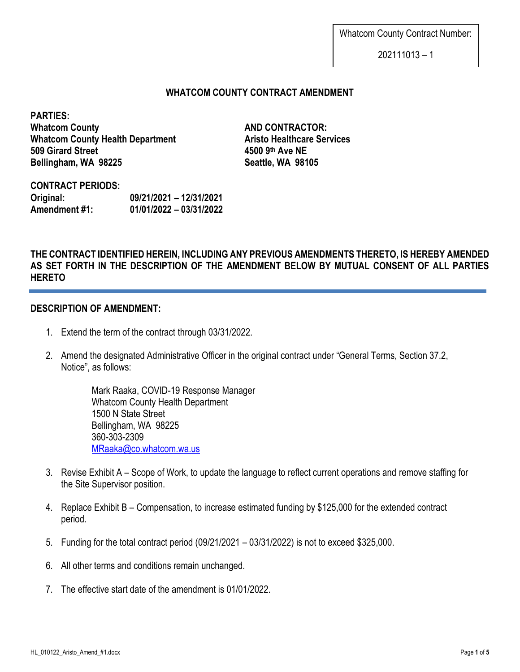Whatcom County Contract Number:

202111013 – 1

## **WHATCOM COUNTY CONTRACT AMENDMENT**

**PARTIES: Whatcom County <b>AND CONTRACTOR: Whatcom County Health Department <b>Aristo Healthcare Services 509 Girard Street 4500 9th Ave NE Bellingham, WA 98225 Seattle, WA 98105**

**CONTRACT PERIODS: Original: 09/21/2021 – 12/31/2021 Amendment #1: 01/01/2022 – 03/31/2022**

# **THE CONTRACT IDENTIFIED HEREIN, INCLUDING ANY PREVIOUS AMENDMENTS THERETO, IS HEREBY AMENDED AS SET FORTH IN THE DESCRIPTION OF THE AMENDMENT BELOW BY MUTUAL CONSENT OF ALL PARTIES HERETO**

## **DESCRIPTION OF AMENDMENT:**

- 1. Extend the term of the contract through 03/31/2022.
- 2. Amend the designated Administrative Officer in the original contract under "General Terms, Section 37.2, Notice", as follows:

Mark Raaka, COVID-19 Response Manager Whatcom County Health Department 1500 N State Street Bellingham, WA 98225 360-303-2309 [MRaaka@co.whatcom.wa.us](mailto:MRaaka@co.whatcom.wa.us)

- 3. Revise Exhibit A Scope of Work, to update the language to reflect current operations and remove staffing for the Site Supervisor position.
- 4. Replace Exhibit B Compensation, to increase estimated funding by \$125,000 for the extended contract period.
- 5. Funding for the total contract period (09/21/2021 03/31/2022) is not to exceed \$325,000.
- 6. All other terms and conditions remain unchanged.
- 7. The effective start date of the amendment is 01/01/2022.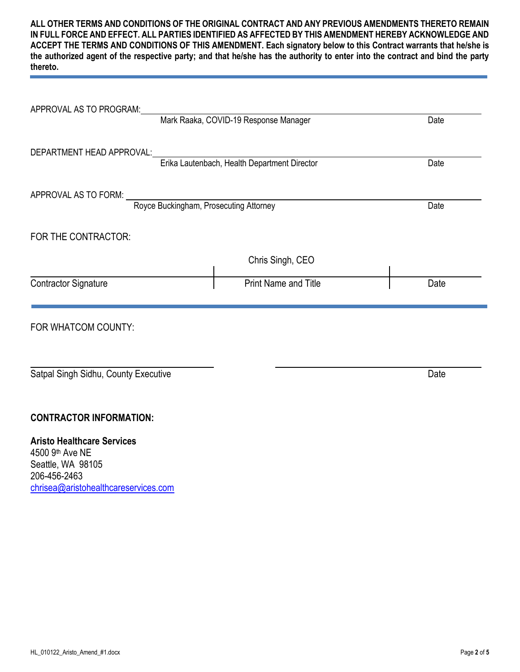**ALL OTHER TERMS AND CONDITIONS OF THE ORIGINAL CONTRACT AND ANY PREVIOUS AMENDMENTS THERETO REMAIN IN FULL FORCE AND EFFECT. ALL PARTIES IDENTIFIED AS AFFECTED BY THIS AMENDMENT HEREBY ACKNOWLEDGE AND ACCEPT THE TERMS AND CONDITIONS OF THIS AMENDMENT. Each signatory below to this Contract warrants that he/she is the authorized agent of the respective party; and that he/she has the authority to enter into the contract and bind the party thereto.**

| APPROVAL AS TO PROGRAM:              |                                              |      |
|--------------------------------------|----------------------------------------------|------|
|                                      | Mark Raaka, COVID-19 Response Manager        | Date |
|                                      |                                              |      |
| DEPARTMENT HEAD APPROVAL:            | Erika Lautenbach, Health Department Director | Date |
|                                      |                                              |      |
| APPROVAL AS TO FORM:                 | Royce Buckingham, Prosecuting Attorney       |      |
|                                      |                                              | Date |
| FOR THE CONTRACTOR:                  |                                              |      |
|                                      | Chris Singh, CEO                             |      |
| <b>Contractor Signature</b>          | <b>Print Name and Title</b>                  | Date |
| FOR WHATCOM COUNTY:                  |                                              |      |
|                                      |                                              |      |
| Satpal Singh Sidhu, County Executive |                                              | Date |
|                                      |                                              |      |
| <b>CONTRACTOR INFORMATION:</b>       |                                              |      |
| <b>Aristo Healthcare Services</b>    |                                              |      |
| 4500 9th Ave NE                      |                                              |      |
| Seattle, WA 98105<br>206-456-2463    |                                              |      |
| chrisea@aristohealthcareservices.com |                                              |      |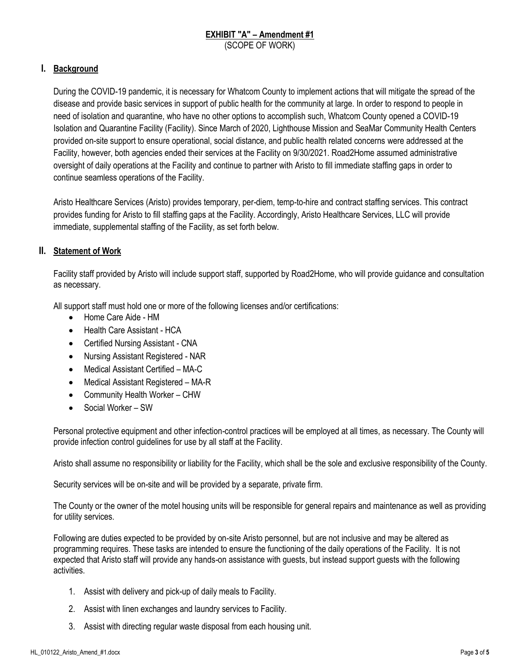#### **EXHIBIT "A" – Amendment #1** (SCOPE OF WORK)

### **I. Background**

During the COVID-19 pandemic, it is necessary for Whatcom County to implement actions that will mitigate the spread of the disease and provide basic services in support of public health for the community at large. In order to respond to people in need of isolation and quarantine, who have no other options to accomplish such, Whatcom County opened a COVID-19 Isolation and Quarantine Facility (Facility). Since March of 2020, Lighthouse Mission and SeaMar Community Health Centers provided on-site support to ensure operational, social distance, and public health related concerns were addressed at the Facility, however, both agencies ended their services at the Facility on 9/30/2021. Road2Home assumed administrative oversight of daily operations at the Facility and continue to partner with Aristo to fill immediate staffing gaps in order to continue seamless operations of the Facility.

Aristo Healthcare Services (Aristo) provides temporary, per-diem, temp-to-hire and contract staffing services. This contract provides funding for Aristo to fill staffing gaps at the Facility. Accordingly, Aristo Healthcare Services, LLC will provide immediate, supplemental staffing of the Facility, as set forth below.

#### **II. Statement of Work**

Facility staff provided by Aristo will include support staff, supported by Road2Home, who will provide guidance and consultation as necessary.

All support staff must hold one or more of the following licenses and/or certifications:

- Home Care Aide HM
- Health Care Assistant HCA
- Certified Nursing Assistant CNA
- Nursing Assistant Registered NAR
- Medical Assistant Certified MA-C
- Medical Assistant Registered MA-R
- Community Health Worker CHW
- Social Worker SW

Personal protective equipment and other infection-control practices will be employed at all times, as necessary. The County will provide infection control guidelines for use by all staff at the Facility.

Aristo shall assume no responsibility or liability for the Facility, which shall be the sole and exclusive responsibility of the County.

Security services will be on-site and will be provided by a separate, private firm.

The County or the owner of the motel housing units will be responsible for general repairs and maintenance as well as providing for utility services.

Following are duties expected to be provided by on-site Aristo personnel, but are not inclusive and may be altered as programming requires. These tasks are intended to ensure the functioning of the daily operations of the Facility. It is not expected that Aristo staff will provide any hands-on assistance with guests, but instead support guests with the following activities.

- 1. Assist with delivery and pick-up of daily meals to Facility.
- 2. Assist with linen exchanges and laundry services to Facility.
- 3. Assist with directing regular waste disposal from each housing unit.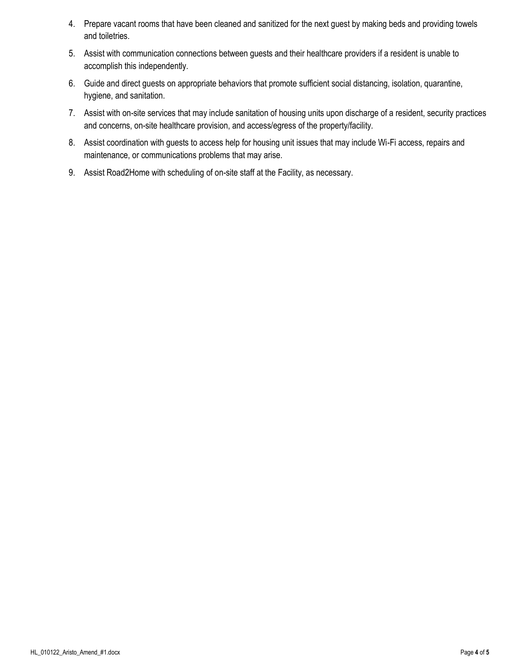- 4. Prepare vacant rooms that have been cleaned and sanitized for the next guest by making beds and providing towels and toiletries.
- 5. Assist with communication connections between guests and their healthcare providers if a resident is unable to accomplish this independently.
- 6. Guide and direct guests on appropriate behaviors that promote sufficient social distancing, isolation, quarantine, hygiene, and sanitation.
- 7. Assist with on-site services that may include sanitation of housing units upon discharge of a resident, security practices and concerns, on-site healthcare provision, and access/egress of the property/facility.
- 8. Assist coordination with guests to access help for housing unit issues that may include Wi-Fi access, repairs and maintenance, or communications problems that may arise.
- 9. Assist Road2Home with scheduling of on-site staff at the Facility, as necessary.